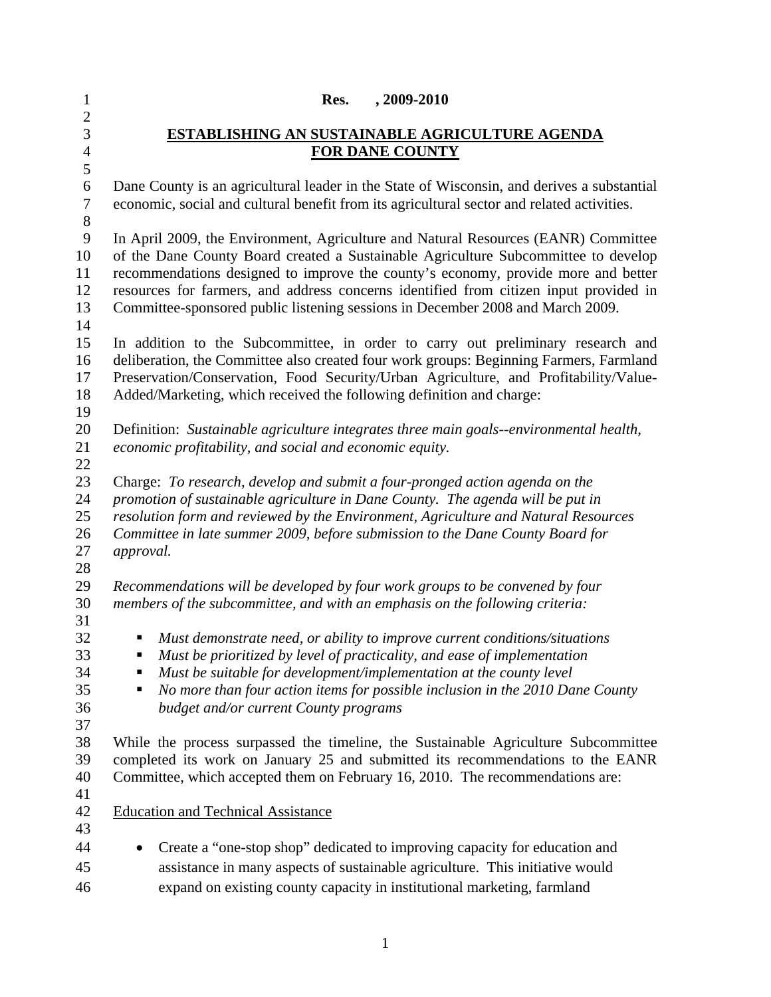| $\mathbf{1}$        | Res.<br>, 2009-2010                                                                                                                                             |  |  |
|---------------------|-----------------------------------------------------------------------------------------------------------------------------------------------------------------|--|--|
| $\overline{2}$<br>3 |                                                                                                                                                                 |  |  |
| $\overline{4}$      | <b>ESTABLISHING AN SUSTAINABLE AGRICULTURE AGENDA</b><br><b>FOR DANE COUNTY</b>                                                                                 |  |  |
| 5                   |                                                                                                                                                                 |  |  |
| 6                   | Dane County is an agricultural leader in the State of Wisconsin, and derives a substantial                                                                      |  |  |
| $\tau$              | economic, social and cultural benefit from its agricultural sector and related activities.                                                                      |  |  |
| 8                   |                                                                                                                                                                 |  |  |
| 9                   | In April 2009, the Environment, Agriculture and Natural Resources (EANR) Committee                                                                              |  |  |
| 10                  | of the Dane County Board created a Sustainable Agriculture Subcommittee to develop                                                                              |  |  |
| 11                  | recommendations designed to improve the county's economy, provide more and better                                                                               |  |  |
| 12                  | resources for farmers, and address concerns identified from citizen input provided in                                                                           |  |  |
| 13                  | Committee-sponsored public listening sessions in December 2008 and March 2009.                                                                                  |  |  |
| 14                  |                                                                                                                                                                 |  |  |
| 15                  | In addition to the Subcommittee, in order to carry out preliminary research and                                                                                 |  |  |
| 16                  | deliberation, the Committee also created four work groups: Beginning Farmers, Farmland                                                                          |  |  |
| 17                  | Preservation/Conservation, Food Security/Urban Agriculture, and Profitability/Value-                                                                            |  |  |
| 18                  | Added/Marketing, which received the following definition and charge:                                                                                            |  |  |
| 19                  |                                                                                                                                                                 |  |  |
| 20<br>21            | Definition: Sustainable agriculture integrates three main goals--environmental health,                                                                          |  |  |
| 22                  | economic profitability, and social and economic equity.                                                                                                         |  |  |
| 23                  | Charge: To research, develop and submit a four-pronged action agenda on the                                                                                     |  |  |
| 24                  | promotion of sustainable agriculture in Dane County. The agenda will be put in                                                                                  |  |  |
| 25                  | resolution form and reviewed by the Environment, Agriculture and Natural Resources                                                                              |  |  |
| 26                  | Committee in late summer 2009, before submission to the Dane County Board for                                                                                   |  |  |
| 27                  | approval.                                                                                                                                                       |  |  |
| 28                  |                                                                                                                                                                 |  |  |
| 29                  | Recommendations will be developed by four work groups to be convened by four                                                                                    |  |  |
| 30                  | members of the subcommittee, and with an emphasis on the following criteria:                                                                                    |  |  |
| 31                  |                                                                                                                                                                 |  |  |
| 32                  | Must demonstrate need, or ability to improve current conditions/situations<br>ш                                                                                 |  |  |
| 33                  | Must be prioritized by level of practicality, and ease of implementation<br>п                                                                                   |  |  |
| 34                  | Must be suitable for development/implementation at the county level<br>п                                                                                        |  |  |
| 35                  | No more than four action items for possible inclusion in the 2010 Dane County<br>п                                                                              |  |  |
| 36                  | budget and/or current County programs                                                                                                                           |  |  |
| 37<br>38            |                                                                                                                                                                 |  |  |
| 39                  | While the process surpassed the timeline, the Sustainable Agriculture Subcommittee                                                                              |  |  |
| 40                  | completed its work on January 25 and submitted its recommendations to the EANR<br>Committee, which accepted them on February 16, 2010. The recommendations are: |  |  |
| 41                  |                                                                                                                                                                 |  |  |
| 42                  | <b>Education and Technical Assistance</b>                                                                                                                       |  |  |
| 43                  |                                                                                                                                                                 |  |  |
| 44                  | Create a "one-stop shop" dedicated to improving capacity for education and<br>$\bullet$                                                                         |  |  |
| 45                  | assistance in many aspects of sustainable agriculture. This initiative would                                                                                    |  |  |
| 46                  | expand on existing county capacity in institutional marketing, farmland                                                                                         |  |  |

1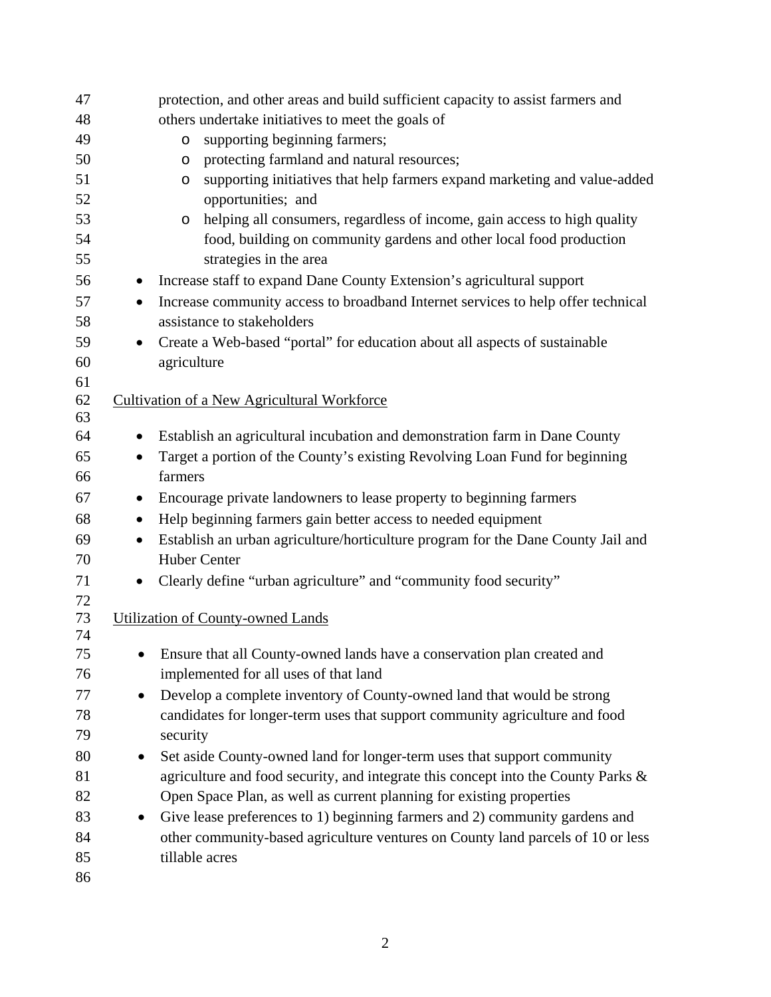| 47       |           | protection, and other areas and build sufficient capacity to assist farmers and                                                                       |
|----------|-----------|-------------------------------------------------------------------------------------------------------------------------------------------------------|
| 48       |           | others undertake initiatives to meet the goals of                                                                                                     |
| 49       |           | supporting beginning farmers;<br>$\circ$                                                                                                              |
| 50       |           | protecting farmland and natural resources;<br>O                                                                                                       |
| 51       |           | supporting initiatives that help farmers expand marketing and value-added<br>$\circ$                                                                  |
| 52       |           | opportunities; and                                                                                                                                    |
| 53       |           | helping all consumers, regardless of income, gain access to high quality<br>$\circ$                                                                   |
| 54<br>55 |           | food, building on community gardens and other local food production<br>strategies in the area                                                         |
| 56       |           |                                                                                                                                                       |
|          |           | Increase staff to expand Dane County Extension's agricultural support                                                                                 |
| 57       | $\bullet$ | Increase community access to broadband Internet services to help offer technical                                                                      |
| 58       |           | assistance to stakeholders                                                                                                                            |
| 59       | $\bullet$ | Create a Web-based "portal" for education about all aspects of sustainable                                                                            |
| 60<br>61 |           | agriculture                                                                                                                                           |
| 62       |           | <b>Cultivation of a New Agricultural Workforce</b>                                                                                                    |
| 63       |           |                                                                                                                                                       |
| 64       | $\bullet$ | Establish an agricultural incubation and demonstration farm in Dane County                                                                            |
| 65       | $\bullet$ | Target a portion of the County's existing Revolving Loan Fund for beginning                                                                           |
| 66       |           | farmers                                                                                                                                               |
| 67       | $\bullet$ | Encourage private landowners to lease property to beginning farmers                                                                                   |
| 68       | $\bullet$ | Help beginning farmers gain better access to needed equipment                                                                                         |
| 69       | $\bullet$ | Establish an urban agriculture/horticulture program for the Dane County Jail and                                                                      |
| 70       |           | <b>Huber Center</b>                                                                                                                                   |
| 71       | $\bullet$ | Clearly define "urban agriculture" and "community food security"                                                                                      |
| 72       |           |                                                                                                                                                       |
| 73       |           | <b>Utilization of County-owned Lands</b>                                                                                                              |
| 74       |           |                                                                                                                                                       |
| 75<br>76 |           | Ensure that all County-owned lands have a conservation plan created and<br>implemented for all uses of that land                                      |
| 77       |           |                                                                                                                                                       |
| 78       | $\bullet$ | Develop a complete inventory of County-owned land that would be strong<br>candidates for longer-term uses that support community agriculture and food |
| 79       |           | security                                                                                                                                              |
| 80       | $\bullet$ | Set aside County-owned land for longer-term uses that support community                                                                               |
| 81       |           | agriculture and food security, and integrate this concept into the County Parks &                                                                     |
| 82       |           | Open Space Plan, as well as current planning for existing properties                                                                                  |
| 83       | $\bullet$ | Give lease preferences to 1) beginning farmers and 2) community gardens and                                                                           |
| 84       |           | other community-based agriculture ventures on County land parcels of 10 or less                                                                       |
| 85       |           | tillable acres                                                                                                                                        |
| 86       |           |                                                                                                                                                       |
|          |           |                                                                                                                                                       |